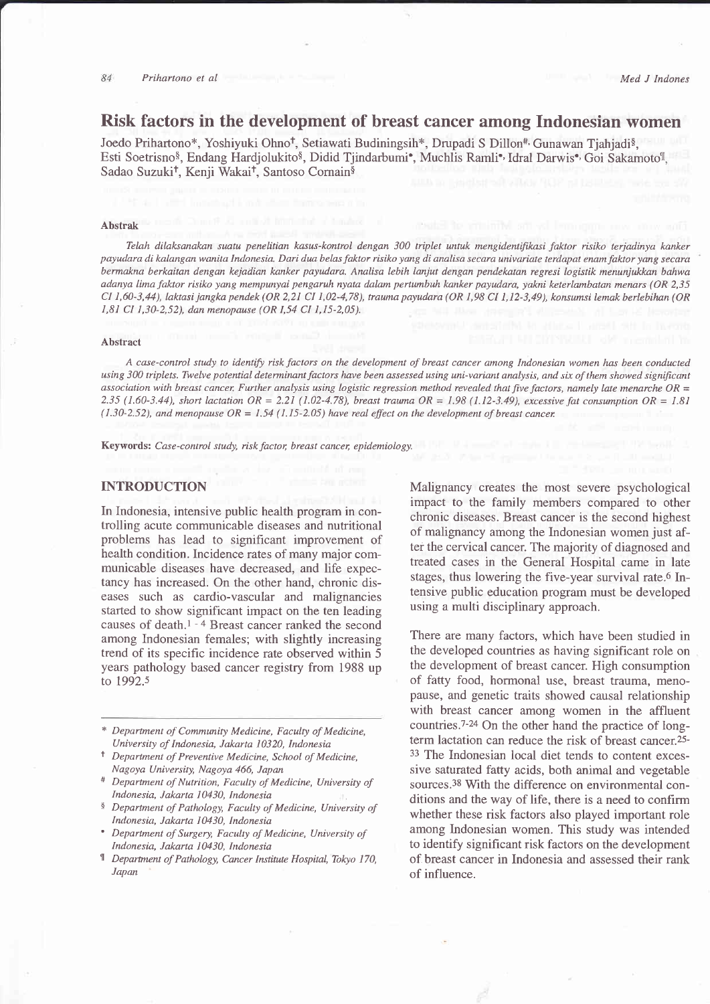$84$ 

# Risk factors in the development of breast cancer among Indonesian women

Joedo Prihartono\*, Yoshiyuki Ohno<sup>†</sup>, Setiawati Budiningsih\*, Drupadi S Dillon<sup>#,</sup> Gunawan Tiahjadi<sup>§</sup>, Esti Soetrisno<sup>§</sup>, Endang Hardjolukito<sup>§</sup>, Didid Tjindarbumi<sup>•</sup>, Muchlis Ramli<sup>•</sup>, Idral Darwis<sup>•</sup>, Goi Sakamoto<sup>¶</sup>, Sadao Suzuki<sup>†</sup>, Kenji Wakai<sup>†</sup>, Santoso Cornain<sup>§</sup>

#### Abstrak

Telah dilaksanakan suatu penelitian kasus-kontrol dengan 300 triplet untuk mengidentifikasi faktor risiko terjadinya kanker payudara di kalangan wanita Indonesia. Dari dua belas faktor risiko yang di analisa secara univariate terdapat enam faktor yang secara bermakna berkaitan dengan kejadian kanker payudara. Analisa lebih lanjut dengan pendekatan regresi logistik menunjukkan bahwa adanya lima faktor risiko yang mempunyai pengaruh nyata dalam pertumbuh kanker payudara, yakni keterlambatan menars (OR 2,35 CI 1,60-3,44), laktasi jangka pendek (OR 2,21 CI 1,02-4,78), trauma payudara (OR 1,98 CI 1,12-3,49), konsumsi lemak berlebihan (OR 1,81 CI 1,30-2,52), dan menopause (OR 1,54 CI 1,15-2,05).

#### Abstract

A case-control study to identify risk factors on the development of breast cancer among Indonesian women has been conducted using 300 triplets. Twelve potential determinant factors have been assessed using uni-variant analysis, and six of them showed significant association with breast cancer. Further analysis using logistic regression method revealed that five factors, namely late menarche  $OR =$ 2.35 (1.60-3.44), short lactation  $OR = 2.21$  (1.02-4.78), breast trauma  $OR = 1.98$  (1.12-3.49), excessive fat consumption  $OR = 1.81$ (1.30-2.52), and menopause  $OR = 1.54$  (1.15-2.05) have real effect on the development of breast cancer.

Keywords: Case-control study, risk factor, breast cancer, epidemiology.

## INTRODUCTION

In Indonesia, intensive public health program in controlling acute communicable diseases and nutritional problems has lead to significant improvement of health condition. Incidence rates of many major communicable diseases have decreased, and life expectancy has increased. On the other hand, chronic diseases such as cardio-vascular and malignancies started to show significant impact on the ten leading causes of death.<sup>1 - 4</sup> Breast cancer ranked the second among Indonesian females; with slightly increasing trend of its specific incidence rate observed within 5 years pathology based cancer registry from 1988 up to 1992.s

- Department of Preventive Medicine, School of Medicine, Nagoya University, Nagoya 466, Japan
- # Department of Nutrition, Faculty of Medicine, University of Indonesia, Jakarta 10430, Indonesia
- <sup>§</sup> Department of Pathology, Faculty of Medicine, University of Indonesia, Jakarta 10430, Indonesia
- ' Department of Surgery, Faculty of Medicine, University of Indonesia, Jakarta 10430, Indonesia
- n Department of Pathology, Cancer Institute Hospital, Tolqo 170, Japan

Malignancy creates the most severe psychological impact to the family members compared to other chronic diseases. Breast cancer is the second highest of malignancy among the Indonesian women just after the cervical cancer. The majority of diagnosed and treated cases in the General Hospital came in late stages, thus lowering the five-year survival rate.6 Intensive public education program must be developed using a multi disciplinary approach.

There are many factors, which have been studied in the developed countries as having significant role on the development of breast cancer. High consumption of fatty food, hormonal use, breast trauma, menopause, and genetic traits showed causal relationship with breast cancer among women in the affluent countries.<sup>7-24</sup> On the other hand the practice of longterm lactation can reduce the risk of breast cancer.2s-33 The Indonesian local diet tends to content excessive saturated fatty acids, both animal and vegetable sources.3s With the difference on environmental conditions and the way of life, there is a need to confirm whether these risk factors also played important role among Indonesian women. This study was intended to identify significant risk factors on the development of breast cancer in Indonesia and assessed their rank of influence.

<sup>\*</sup> Department of Community Medicine, Faculty of Medicine, University of Indonesia, Jakarta 10320, Indonesia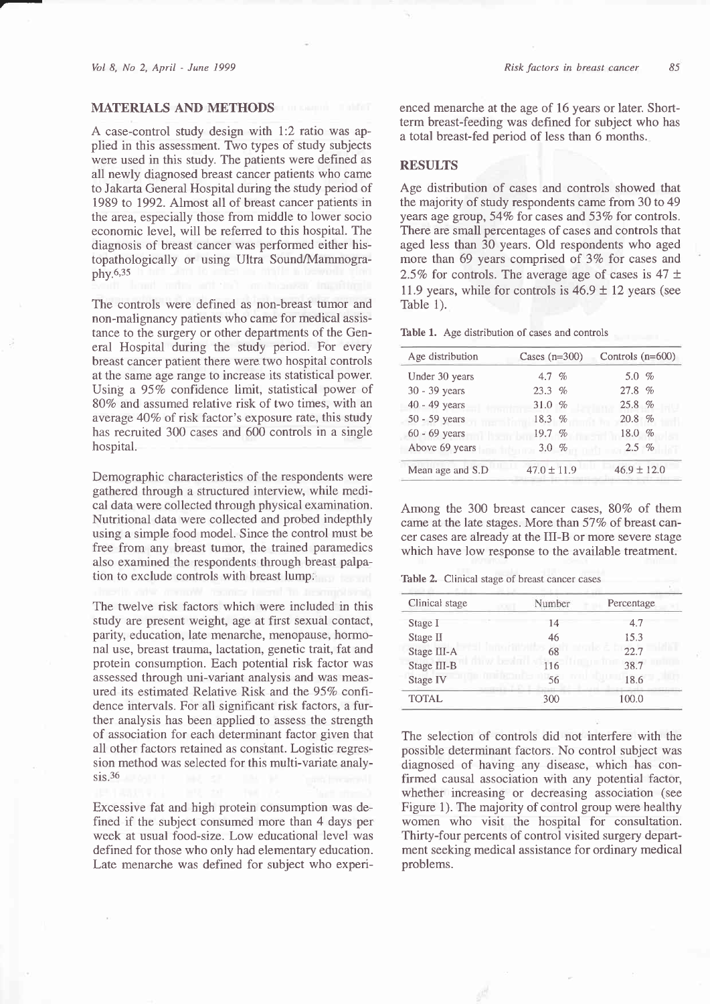#### MATERIALS AND METHODS

A case-control study design with I:2 ratio was applied in this assessment. Two types of study subjects were used in this study. The patients were defined as all newly diagnosed breast cancer patients who came to Jakarta General Hospital during the study period of 1989 to 1992. Almost all of breast cancer patients in the area, especially those from middle to lower socio economic level, will be referred to this hospital. The diagnosis of breast cancer was performed either histopathologically or using Ultra Sound/Mammography.6,35

The controls were defined as non-breast tumor and non-malignancy patients who came for medical assistance to the surgery or other departments of the General Hospital during the study period. For every breast cancer patient there were. two hospital controls at the same age range to increase its statistical power. Using a 95% confidence limit, statistical power of 80% and assumed relative risk of two times, with an average 40% of risk factor's exposure rate, this study has recruited 300 cases and 600 controls in a single hospital.

Demographic characteristics of the respondents were gathered through a structured interview, while medical data were collected through physical examination. Nutritional data were collected and probed indepthly using a simple food model. Since the control must be free from any breast tumor, the trained paramedics also examined the respondents through breast palpation to exclude controls with breast lump;'

The twelve risk factors which were included in this study are present weight, age at first sexual contact, parity, education, late menarche, menopause, hormonal use, breast trauma, lactation, genetic trait, fat and protein consumption. Each potential risk factor was assessed through uni-variant analysis and was measured its estimated Relative Risk and the 95% confidence intervals. For all significant risk factors, a further analysis has been applied to assess the strength of association for each determinant factor given that all other factors retained as constant. Logistic regression method was selected for this multi-variate analysis.36

Excessive fat and high protein consumption was defined if the subject consumed more than 4 days per week at usual food-size. Low educational level was defined for those who only had elementary education. Late menarche was defined for subject who experienced menarche at the age of 16 years or later. Shortterm breast-feeding was defined for subject who has a total breast-fed period of less than 6 months.

# RESULTS

Age distribution of cases and controls showed that the majority of study respondents came from 30 to 49 years age group, 54% for cases and 53% for controls. There are small percentages of cases and controls that aged less than 30 years. Old respondents who aged more than 69 years comprised of 3% for cases and 2.5% for controls. The average age of cases is  $47 \pm$ 11.9 years, while for controls is  $46.9 \pm 12$  years (see Table 1).

|  | <b>Table 1.</b> Age distribution of cases and controls |  |  |  |
|--|--------------------------------------------------------|--|--|--|
|--|--------------------------------------------------------|--|--|--|

| Age distribution  | Cases $(n=300)$ | Controls $(n=600)$ |  |  |
|-------------------|-----------------|--------------------|--|--|
| Under 30 years    | 4.7 %           | 5.0 $%$            |  |  |
| 30 - 39 years     | 23.3%           | 27.8 %             |  |  |
| 40 - 49 years     | 31.0 %          | 25.8%              |  |  |
| 50 - 59 years     | 18.3 %          | 20.8 %             |  |  |
| $60 - 69$ years   | 19.7%           | 18.0 %             |  |  |
| Above 69 years    | 3.0 $%$         | $2.5\%$            |  |  |
| Mean age and S.D. | $47.0 \pm 11.9$ | $46.9 \pm 12.0$    |  |  |

Among the 300 breast cancer cases, 80% of them came at the late stages. More than 57% of breast cancer cases are already at the III-B or more severe stage which have low response to the available treatment.

Table 2. Clinical stage of breast cancer cases

| Clinical stage | Number | Percentage |
|----------------|--------|------------|
| Stage I        | 14     | 4.7        |
| Stage II       | 46     | 15.3       |
| Stage III-A    | 68     | 22.7       |
| Stage III-B    | 116    | 38.7       |
| Stage IV       | 56     | 18.6       |
| <b>TOTAL</b>   | 300    | 100.0      |

The selection of controls did not interfere with the possible determinant factors. No control subject was diagnosed of having any disease, which has confirmed causal association with any potential factor, whether increasing or decreasing association (see Figure 1). The majority of control group were healthy women who visit the hospital for consultation. Thirty-four percents of control visited surgery department seeking medical assistance for ordinary medical problems.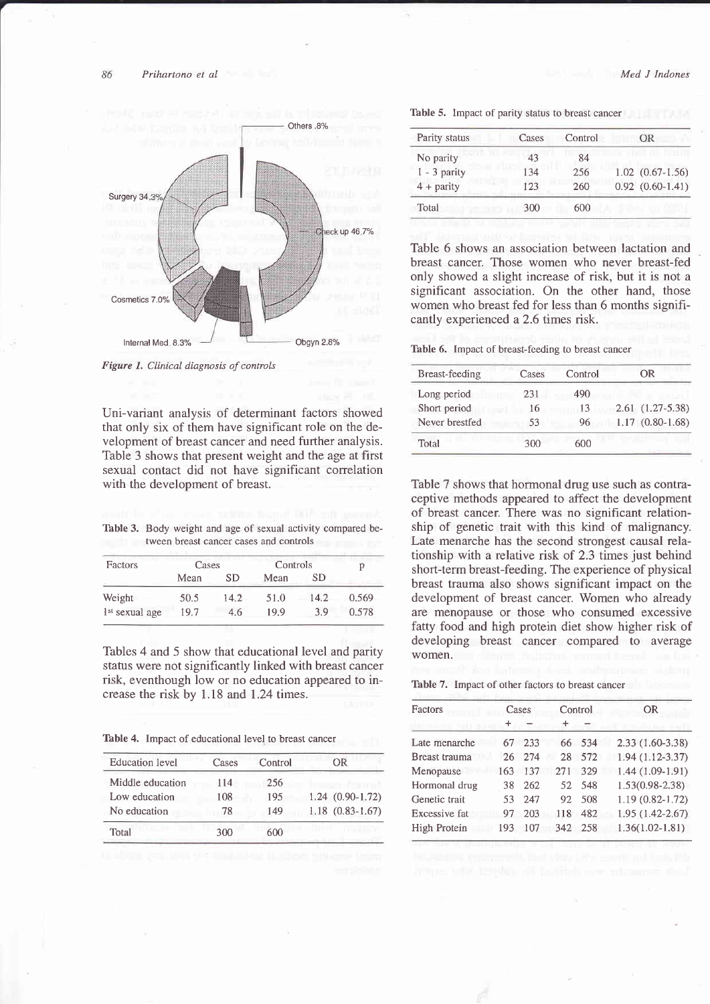

Figure 1. Clinical diagnosis of controls

Uni-variant analysis of determinant factors showed that only six of them have significant role on the development of breast cancer and need further analysis. Table 3 shows that present weight and the age at first sexual contact did not have significant correlation with the development of breast.

Table 3. Body weight and age of sexual activity compared between breast cancer cases and controls

| Factors                    | Cases |      | Controls | р    |       |
|----------------------------|-------|------|----------|------|-------|
|                            | Mean  | SD   | Mean     | SD   |       |
| Weight                     | 50.5  | 14.2 | 51.0     | 14.2 | 0.569 |
| 1 <sup>st</sup> sexual age | 19.7  | 4.6  | 19.9     | 3.9  | 0.578 |

Tables 4 and 5 show that educational level and parity status were not significantly linked with breast cancer risk, eventhough low or no education appeared to increase the risk by 1.18 and 1.24 times.

Table 4. Impact of educational level to breast cancer

| <b>Education</b> level | Cases | Control | <b>OR</b>         | Breast trauma |      | 26 274  | 28      | 572 |
|------------------------|-------|---------|-------------------|---------------|------|---------|---------|-----|
|                        |       |         |                   | Menopause     |      | 163 137 | 271     | 329 |
| Middle education       | 114   | 256     |                   | Hormonal drug |      | 38 262  | 52.     | 548 |
| Low education          | 108   | 195     | $1.24(0.90-1.72)$ | Genetic trait |      | 53 247  | 92.     | 508 |
| No education           | 78    | 149     | $1.18(0.83-1.67)$ | Excessive fat | 97   | -203    | 118     | 482 |
| Total                  | 300   | 600     |                   | High Protein  | 193. | 107     | 342 258 |     |
|                        |       |         |                   |               |      |         |         |     |

Table 5. Impact of parity status to breast cancer

| Parity status  | Cases | Control | <b>OR</b>              |
|----------------|-------|---------|------------------------|
| No parity      | 43    | 84      |                        |
| $1 - 3$ parity | 134   | 256     | $1.02$ $(0.67 - 1.56)$ |
| $4 +$ parity   | 123   | 260     | $0.92$ $(0.60-1.41)$   |
| Total          | 300   | 600     |                        |

Table 6 shows an association between lactation and breast cancer. Those women who never breast-fed only showed a slight increase of risk, but it is not <sup>a</sup> significant association. On the other hand, those women who breast fed for less than 6 months significantly experienced a 2.6 times risk.

Table 6. Impact of breast-feeding to breast cancer

| Breast-feeding | Cases | Control | OR                |
|----------------|-------|---------|-------------------|
| Long period    | 231   | 490     |                   |
| Short period   | 16    | 13      | $2.61(1.27-5.38)$ |
| Never brestfed | 53    | 96      | $1.17(0.80-1.68)$ |
| Total          | 300   | 600     |                   |

Table 7 shows that hormonal drug use such as contraceptive methods appeared to affect the development of breast cancer. There was no significant relationship of genetic trait with this kind of malignancy. Late menarche has the second strongest causal relationship with a relative risk of 2.3 times just behind short-term breast-feeding. The experience of physical breast trauma also shows significant impact on the development of breast cancer. Women who already are menopause or those who consumed excessive fatty food and high protein diet show higher risk of developing breast cancer compared to average women.

Table 7. Impact of other factors to breast cancer

| Factors              | Cases |     |     | Control | OR                  |
|----------------------|-------|-----|-----|---------|---------------------|
|                      | $^+$  |     | ÷   |         |                     |
| Late menarche        | 67.   | 233 |     | 66 534  | $2.33(1.60-3.38)$   |
| <b>Breast trauma</b> | 26    | 274 | 28  | 572     | $1.94(1.12-3.37)$   |
| Menopause            | 163   | 137 | 271 | 329     | $1.44(1.09-1.91)$   |
| Hormonal drug        | 38    | 262 |     | 52 548  | $1.53(0.98-2.38)$   |
| Genetic trait        | 53    | 247 | 92  | - 508   | $1.19(0.82 - 1.72)$ |
| <b>Excessive</b> fat | 97    | 203 | 118 | 482     | 1.95 (1.42-2.67)    |
| <b>High Protein</b>  | 193   | 107 |     | 342 258 | $1.36(1.02 - 1.81)$ |
|                      |       |     |     |         |                     |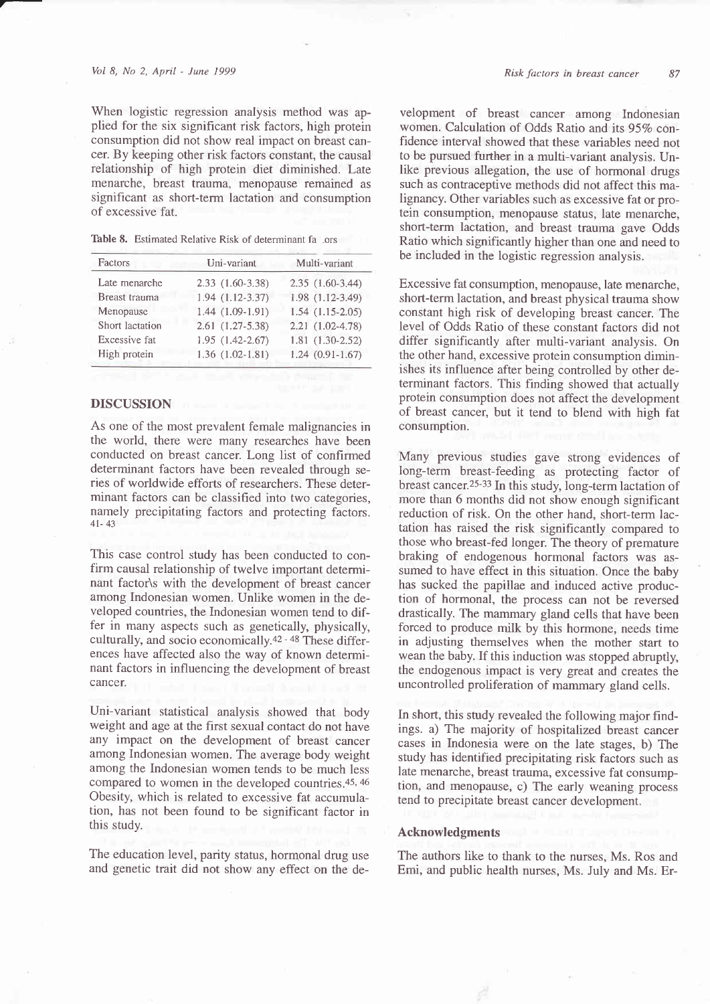When logistic regression analysis method was applied for the six significant risk factors, high protein consumption did not show real impact on breast cancer. By keeping other risk factors constant, the causal relationship of high protein diet diminished. Late menarche, breast trauma, menopause remained as significant as short-term lactation and consumption of excessive fat.

|  |  |  |  |  | Table 8. Estimated Relative Risk of determinant fa .ors |  |  |
|--|--|--|--|--|---------------------------------------------------------|--|--|
|--|--|--|--|--|---------------------------------------------------------|--|--|

| Factors         | Uni-variant            | Multi-variant     |  |  |
|-----------------|------------------------|-------------------|--|--|
| Late menarche   | 2.33 (1.60-3.38)       | $2.35(1.60-3.44)$ |  |  |
| Breast trauma   | $1.94(1.12-3.37)$      | 1.98 (1.12-3.49)  |  |  |
| Menopause       | $1.44(1.09-1.91)$      | $1.54(1.15-2.05)$ |  |  |
| Short lactation | 2.61 (1.27-5.38)       | 2.21 (1.02-4.78)  |  |  |
| Excessive fat   | $1.95(1.42-2.67)$      | 1.81 (1.30-2.52)  |  |  |
| High protein    | $1.36$ $(1.02 - 1.81)$ | $1.24(0.91-1.67)$ |  |  |

# DISCUSSION

As one of the most prevalent female malignancies in the world, there were many researches have been conducted on breast cancer. Long list of confirmed determinant factors have been revealed through series of worldwide efforts of researchers. These determinant factors can be classified into two categories, namely precipitating factors and protecting factors. 4l- 43

This case control study has been conducted to confirm causal relationship of twelve important determinant factor\s with the development of breast cancer among Indonesian women. Unlike women in the developed countries, the Indonesian women tend to differ in many aspects such as genetically, physically, culturally, and socio economically.42 - 48 These differences have affected also the way of known determinant factors in influencing the development of breast cancer.

Uni-variant statistical analysis showed that body weight and age at the first sexual contact do not have any impact on the development of breast cancer among Indonesian women. The average body weight among the Indonesian women tends to be much less compared to women in the developed countries.4s,46 Obesity, which is related to excessive fat accumulation, has not been found to be significant factor in this study.

The education level, parity status, hormonal drug use and genetic trait did not show any effect on the de-

velopment of breast cancer among Indonesian women. Calculation of Odds Ratio and its 95% confidence interval showed that these variables need not to be pursued further in a multi-variant analysis. Unlike previous allegation, the use of hormonal drugs such as contraceptive methods did not affect this malignancy. Other variables such as excessive fat or protein consumption, menopause status, late menarche, short-term lactation, and breast trauma gave Odds Ratio which significantly higher than one and need to be included in the logistic regression analysis.

Excessive fat consumption, menopause, late menarche, short-term lactation, and breast physical trauma show constant high risk of developing breast cancer. The level of Odds Ratio of these constant factors did not differ significantly after multi-variant analysis. On the other hand, excessive protein consumption diminishes its influence after being controlled by other determinant factors. This finding showed that actually protein consumption does not affect the development of breast cancer, but it tend to blend with high fat consumption.

Many previous studies gave strong evidences of long-term breast-feeding as protecting factor of breast cancer.<sup>25-33</sup> In this study, long-term lactation of more than 6 months did not show enough significant reduction of risk. On the other hand, short-term lactation has raised the risk significantly compared to those who breast-fed longer. The theory of premature braking of endogenous hormonal factors was assumed to have effect in this situation. Once the baby has sucked the papillae and induced active production of hormonal, the process can not be reversed drastically. The mammary gland cells that have been forced to produce milk by this hormone, needs time in adjusting themselves when the mother start to wean the baby. If this induction was stopped abruptly, the endogenous impact is very great and creates the uncontrolled proliferation of mammary gland cells.

In short, this study revealed the following major findings. a) The majority of hospitalized breast cancer cases in Indonesia were on the late stages, b) The study has identified precipitating risk factors such as late menarche, breast trauma, excessive fat consurnption, and menopause, c) The early weaning process tend to precipitate breast cancer development.

### Acknowledgments

The authors like to thank to the nurses, Ms. Ros and Emi, and public health nurses, Ms. July and Ms. Er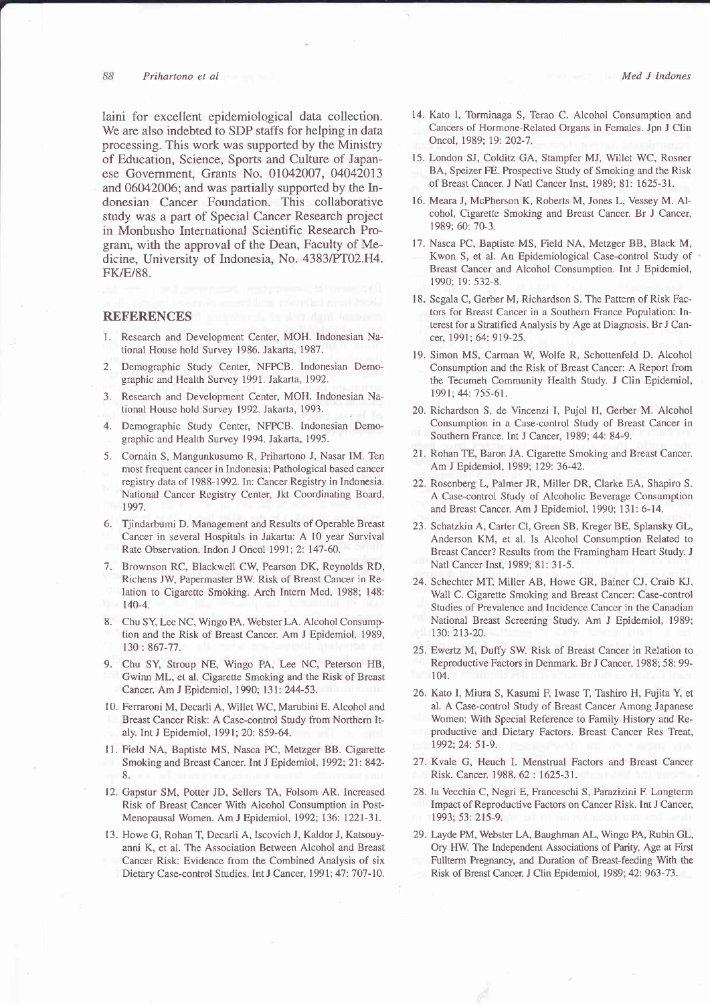$88$ 

Prihartono et al

laini for excellent epidemiological data collection. We are also indebted to SDP staffs for helping in data processing. This work was supported by the Ministry of Education, Science, Sports and Culture of Japanese Government, Grants No. 01042007, 04042013 and 06042006; and was partially supported by the Indonesian Cancer Foundation. This collaborative study was a part of Special Cancer Research project in Monbusho International Scientific Research Program, with the approval of the Dean, Faculty of Medicine, University of Indonesia, No. 43831PT02.H4. FK/E/S8.

#### **REFERENCES**

- l. Research and Development Center, MOH. Indonesian National House hold Survey 1986. Jakarta, 1987.
- 2. Demographic Study Center, NFPCB. Indonesian Demographic and Health Survey 1991. Jakarta,1992.
- 3. Research and Development Center, MOH. Indonesian National House hold Survey 1992. Jakarta, 1993.
- 4. Demographic Study Center, NFPCB. Indonesian Demographic and Health Survey 1994. Jakarta, 1995.
- 5, Cornain S, Mangunkusumo R, Prihartono J, Nasar IM. Ten most frequent cancer in Indonesia: Pathological based cancer registry data of 1988-1992. In: Cancer Registry in Indonesia. National Cancer Registry Center, Jkt Coordinating Board, 1997.
- 6. Tjindarbumi D. Management and Results of Operable Breast Cancer in several Hospitals in Jakarta: A l0 year Survival Rate Observation. Indon J Oncol 1991; 2: 147-60.
- 7. Brownson RC, Blackwell CW, Pearson DK, Reynolds RD, Richens JW, Papermaster BW. Risk of Breast Cancer in Relation to Cigarette Smoking. Arch Intern Med, 1988; 148: 140-4.
- 8. Chu SY, Lee NC, Wingo PA, Webster LA. Alcohol Consumption and the Risk of Breast Cancer. Am J Epidemiol. 1989, 130 : 867-77.
- 9. Chu SY, Stroup NE, Wingo PA, Lee NC, Peterson HB, Gwinn ML, et al. Cigarette Smoking and the Risk of Breast Cancer. Am J Epidemiol, 1990; l3l:244-53.
- 10. Ferraroni M, Decarli A, Willet WC, Marubini E. Alcohol and Breast Cancer Risk: A Case-control Study trom Northern Italy. Int J Epidemiol, 1991;20:859-64.
- ll. Field NA, Baptiste MS, Nasca PC, Metzger BB. Cigarette Smoking and Breast Cancer. Int J Epidemiol, 1992; 21: 842-8.
- 12. Gapstur SM, Potter JD, Sellers TA, Folsom AR. Increased Risk of Breast Cancer With Alcohol Consumption in Post-Menopausal Women. Am J Epidemiol, 1992;136: I22I-3I.
- 13. Howe G, Rohan T, Decarli A, Iscovich J, Kaldor J, Katsouyanni K, et al. The Association Between Alcohol and Breast Cancer Risk: Evidence from the Combined Analysis of six Dietary Case-control Studies. Int J Cancer, 1991; 47: 707-10.
- 14, Kato I, Torminaga S, Terao C. Alcohol Consumption and Cancers of Hormone-Related Organs in Females. Jpn I Clin Oncol, 1989; 19: 202-7.
- 15. London SJ, Colditz GA, Stampfer MJ, Willet WC, Rosner BA, Speizer FE. Prospective Study of Smoking and the Risk of Breast Cancer. J Natl Cancer Inst, 1989; 81: 1625-31.
- 16. Meara J, McPherson K, Roberts M, Jones L, Vessey M. Alcohol, Cigarette Smoking and Breast Cancer. Br J Cancer, 1989; 60: 70-3.
- 17. Nasca PC, Baptiste MS, Field NA, Metzger BB, Black M, Kwon S, et al. An Epidemiological Case-control Study of Breast Cancer and Alcohol Consumption. Int J Epidemiol, 1990; 19:532-8.
- 18. Segala C, Gerber M, Richardson S. The Pattern of Risk Factors for Breast Cancer in a Southern France Population: Interest for a Stratified Analysis by Age at Diagnosis. Br J Cancer, l99l;64:919-25.
- 19. Simon MS, Carman W, Wolfe R, Schottenfeld D. Alcohol Consumption and the Risk of Breast Cancer: A Report from the Tecumeh Community Health Study. J Clin Epidemiol, l99l: 44: 755-61.
- 20. Richardson S, de Vincenzi I, Pujol H, Gerber M. Alcohol Consumption in a Case-control Study of Breast Cancer in Southern France. Int J Cancer, 1989; 44: 84-9.
- 21. Rohan TE, Baron JA. Cigarette Smoking and Breast Cancer. Am J Epidemiol, 1989; 129: 36-42.
- 22. Rosenberg L, Palmer JR, Miller DR, Clarke EA, Shapiro S. A Case-control Study of Alcoholic Beverage Consumption and Breast Cancer. Am J Epidemiol, 1990; l3l: 6-14.
- 23. Schatzkin A, Carter Cl, Green SB, Kreger BE, Splansky GL, Anderson KM, et al. Is Alcohol Consumption Related to Breast Cancer? Results from the Framingham Heart Study. J Natl Cancer Inst, 1989; 81: 3l-5.
- 24. Schechter MT, Miller AB, Howe GR, Bainer CJ, Craib KJ, Wall C. Cigarette Smoking and Breast Cancer: Case-control Studies of Prevalence and Incidence Cancer in the Canadian National Breast Screening Study. Am J Epidemiol, 1989; l3O:213-20.
- 25. Ewertz M, Duffy SW. Risk of Breast Cancer in Relation to Reproductive Factors in Denmark. Br J Cancer, 1988; 58: 99- 104.
- 26. Kato I, Miura S, Kasumi F, Iwase T, Tashiro H, Fujita Y, et al. A Case-control Study of Breast Cancer Among Japanese Women: With Special Reference to Family History and Reproductive and Dietary Factors. Breast Cancer Res Treat, 1992;24: 5l-9.
- 27. Kvale G, Heuch I. Menstrual Factors and Breast Cancer Risk. Cancer. 1988,62 : 1625-31.
- 28. la Vecchia C, Negri E, Franceschi S, Parazizini F. Longterm Impact of Reproductive Factors on Cancer Risk. Int J Cancer, 1993;53:215-9.
- 29. Layde PM, Webster LA, Baughman AL, Wingo PA, Rubin GL, Ory HW The Indepéndent Associations of Parity, Age at First Fullterm Pregnancy, and Duration of Breast-feeding With the Risk of Breast Cancer. J Clin Epidemiol, 1989; 42: 963-73.